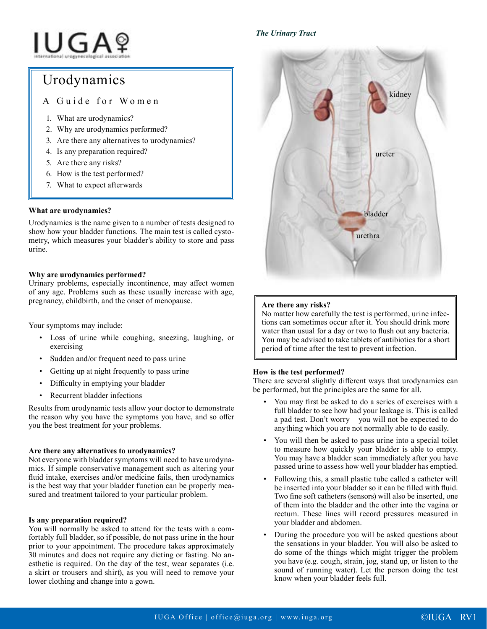### *The Urinary Tract*

# **IUGA**?

## Urodynamics

A Guide for Women

- 1. What are urodynamics?
- 2. Why are urodynamics performed?
- 3. Are there any alternatives to urodynamics?
- 4. Is any preparation required?
- 5. Are there any risks?
- 6. How is the test performed?
- 7. What to expect afterwards

#### **What are urodynamics?**

Urodynamics is the name given to a number of tests designed to show how your bladder functions. The main test is called cystometry, which measures your bladder's ability to store and pass urine.

#### **Why are urodynamics performed?**

Urinary problems, especially incontinence, may affect women of any age. Problems such as these usually increase with age, pregnancy, childbirth, and the onset of menopause.

Your symptoms may include:

- Loss of urine while coughing, sneezing, laughing, or exercising
- Sudden and/or frequent need to pass urine
- Getting up at night frequently to pass urine
- Difficulty in emptying your bladder
- Recurrent bladder infections

Results from urodynamic tests allow your doctor to demonstrate the reason why you have the symptoms you have, and so offer you the best treatment for your problems.

#### **Are there any alternatives to urodynamics?**

Not everyone with bladder symptoms will need to have urodynamics. If simple conservative management such as altering your fluid intake, exercises and/or medicine fails, then urodynamics is the best way that your bladder function can be properly measured and treatment tailored to your particular problem.

#### **Is any preparation required?**

You will normally be asked to attend for the tests with a comfortably full bladder, so if possible, do not pass urine in the hour prior to your appointment. The procedure takes approximately 30 minutes and does not require any dieting or fasting. No anesthetic is required. On the day of the test, wear separates (i.e. a skirt or trousers and shirt), as you will need to remove your lower clothing and change into a gown.



#### **Are there any risks?**

No matter how carefully the test is performed, urine infections can sometimes occur after it. You should drink more water than usual for a day or two to flush out any bacteria. You may be advised to take tablets of antibiotics for a short period of time after the test to prevent infection.

#### **How is the test performed?**

There are several slightly different ways that urodynamics can be performed, but the principles are the same for all.

- You may first be asked to do a series of exercises with a full bladder to see how bad your leakage is. This is called a pad test. Don't worry – you will not be expected to do anything which you are not normally able to do easily.
- You will then be asked to pass urine into a special toilet to measure how quickly your bladder is able to empty. You may have a bladder scan immediately after you have passed urine to assess how well your bladder has emptied.
- Following this, a small plastic tube called a catheter will be inserted into your bladder so it can be filled with fluid. Two fine soft catheters (sensors) will also be inserted, one of them into the bladder and the other into the vagina or rectum. These lines will record pressures measured in your bladder and abdomen.
- During the procedure you will be asked questions about the sensations in your bladder. You will also be asked to do some of the things which might trigger the problem you have (e.g. cough, strain, jog, stand up, or listen to the sound of running water). Let the person doing the test know when your bladder feels full.